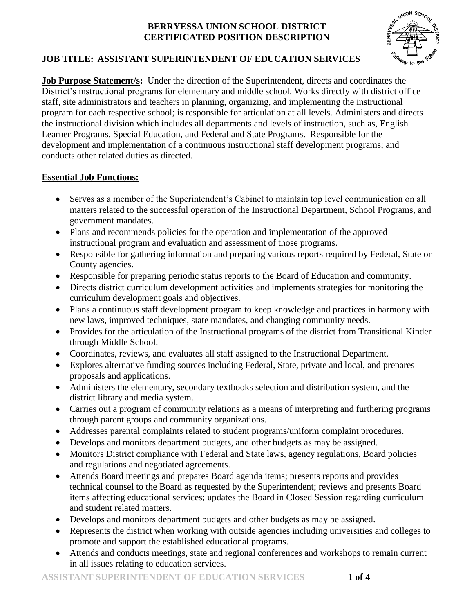

# **JOB TITLE: ASSISTANT SUPERINTENDENT OF EDUCATION SERVICES**

**Job Purpose Statement/s:** Under the direction of the Superintendent, directs and coordinates the District's instructional programs for elementary and middle school. Works directly with district office staff, site administrators and teachers in planning, organizing, and implementing the instructional program for each respective school; is responsible for articulation at all levels. Administers and directs the instructional division which includes all departments and levels of instruction, such as, English Learner Programs, Special Education, and Federal and State Programs. Responsible for the development and implementation of a continuous instructional staff development programs; and conducts other related duties as directed.

# **Essential Job Functions:**

- Serves as a member of the Superintendent's Cabinet to maintain top level communication on all matters related to the successful operation of the Instructional Department, School Programs, and government mandates.
- Plans and recommends policies for the operation and implementation of the approved instructional program and evaluation and assessment of those programs.
- Responsible for gathering information and preparing various reports required by Federal, State or County agencies.
- Responsible for preparing periodic status reports to the Board of Education and community.
- Directs district curriculum development activities and implements strategies for monitoring the curriculum development goals and objectives.
- Plans a continuous staff development program to keep knowledge and practices in harmony with new laws, improved techniques, state mandates, and changing community needs.
- Provides for the articulation of the Instructional programs of the district from Transitional Kinder through Middle School.
- Coordinates, reviews, and evaluates all staff assigned to the Instructional Department.
- Explores alternative funding sources including Federal, State, private and local, and prepares proposals and applications.
- Administers the elementary, secondary textbooks selection and distribution system, and the district library and media system.
- Carries out a program of community relations as a means of interpreting and furthering programs through parent groups and community organizations.
- Addresses parental complaints related to student programs/uniform complaint procedures.
- Develops and monitors department budgets, and other budgets as may be assigned.
- Monitors District compliance with Federal and State laws, agency regulations, Board policies and regulations and negotiated agreements.
- Attends Board meetings and prepares Board agenda items; presents reports and provides technical counsel to the Board as requested by the Superintendent; reviews and presents Board items affecting educational services; updates the Board in Closed Session regarding curriculum and student related matters.
- Develops and monitors department budgets and other budgets as may be assigned.
- Represents the district when working with outside agencies including universities and colleges to promote and support the established educational programs.
- Attends and conducts meetings, state and regional conferences and workshops to remain current in all issues relating to education services.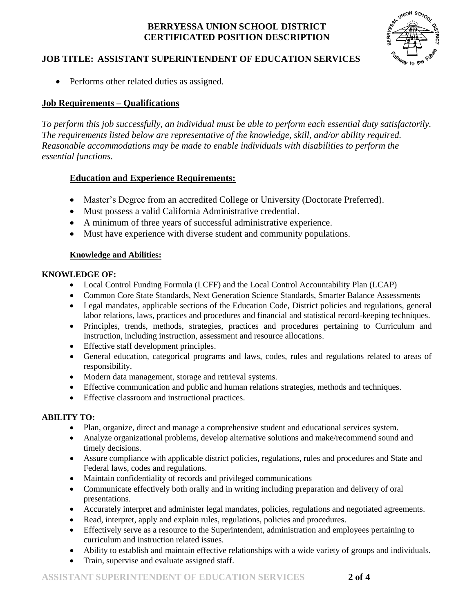

## **JOB TITLE: ASSISTANT SUPERINTENDENT OF EDUCATION SERVICES**

• Performs other related duties as assigned.

## **Job Requirements – Qualifications**

*To perform this job successfully, an individual must be able to perform each essential duty satisfactorily. The requirements listed below are representative of the knowledge, skill, and/or ability required. Reasonable accommodations may be made to enable individuals with disabilities to perform the essential functions.*

## **Education and Experience Requirements:**

- Master's Degree from an accredited College or University (Doctorate Preferred).
- Must possess a valid California Administrative credential.
- A minimum of three years of successful administrative experience.
- Must have experience with diverse student and community populations.

#### **Knowledge and Abilities:**

#### **KNOWLEDGE OF:**

- Local Control Funding Formula (LCFF) and the Local Control Accountability Plan (LCAP)
- Common Core State Standards, Next Generation Science Standards, Smarter Balance Assessments
- Legal mandates, applicable sections of the Education Code, District policies and regulations, general labor relations, laws, practices and procedures and financial and statistical record-keeping techniques.
- Principles, trends, methods, strategies, practices and procedures pertaining to Curriculum and Instruction, including instruction, assessment and resource allocations.
- Effective staff development principles.
- General education, categorical programs and laws, codes, rules and regulations related to areas of responsibility.
- Modern data management, storage and retrieval systems.
- Effective communication and public and human relations strategies, methods and techniques.
- Effective classroom and instructional practices.

## **ABILITY TO:**

- Plan, organize, direct and manage a comprehensive student and educational services system.
- Analyze organizational problems, develop alternative solutions and make/recommend sound and timely decisions.
- Assure compliance with applicable district policies, regulations, rules and procedures and State and Federal laws, codes and regulations.
- Maintain confidentiality of records and privileged communications
- Communicate effectively both orally and in writing including preparation and delivery of oral presentations.
- Accurately interpret and administer legal mandates, policies, regulations and negotiated agreements.
- Read, interpret, apply and explain rules, regulations, policies and procedures.
- Effectively serve as a resource to the Superintendent, administration and employees pertaining to curriculum and instruction related issues.
- Ability to establish and maintain effective relationships with a wide variety of groups and individuals.
- Train, supervise and evaluate assigned staff.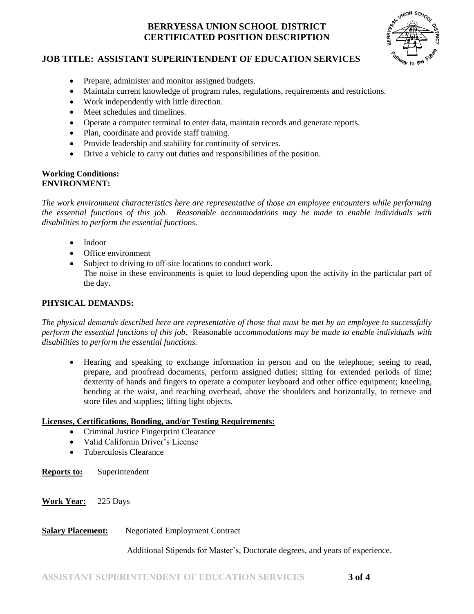

## **JOB TITLE: ASSISTANT SUPERINTENDENT OF EDUCATION SERVICES**

- Prepare, administer and monitor assigned budgets.
- Maintain current knowledge of program rules, regulations, requirements and restrictions.
- Work independently with little direction.
- Meet schedules and timelines.
- Operate a computer terminal to enter data, maintain records and generate reports.
- Plan, coordinate and provide staff training.
- Provide leadership and stability for continuity of services.
- Drive a vehicle to carry out duties and responsibilities of the position.

#### **Working Conditions: ENVIRONMENT:**

*The work environment characteristics here are representative of those an employee encounters while performing the essential functions of this job. Reasonable accommodations may be made to enable individuals with disabilities to perform the essential functions.*

- Indoor
- Office environment
- Subject to driving to off-site locations to conduct work. The noise in these environments is quiet to loud depending upon the activity in the particular part of the day.

#### **PHYSICAL DEMANDS:**

*The physical demands described here are representative of those that must be met by an employee to successfully perform the essential functions of this job.* Reasonable *accommodations may be made to enable individuals with disabilities to perform the essential functions.*

 Hearing and speaking to exchange information in person and on the telephone; seeing to read, prepare, and proofread documents, perform assigned duties; sitting for extended periods of time; dexterity of hands and fingers to operate a computer keyboard and other office equipment; kneeling, bending at the waist, and reaching overhead, above the shoulders and horizontally, to retrieve and store files and supplies; lifting light objects.

#### **Licenses, Certifications, Bonding, and/or Testing Requirements:**

- Criminal Justice Fingerprint Clearance
- Valid California Driver's License
- Tuberculosis Clearance
- **Reports to:** Superintendent
- **Work Year:** 225 Days

## **Salary Placement:** Negotiated Employment Contract

Additional Stipends for Master's, Doctorate degrees, and years of experience.